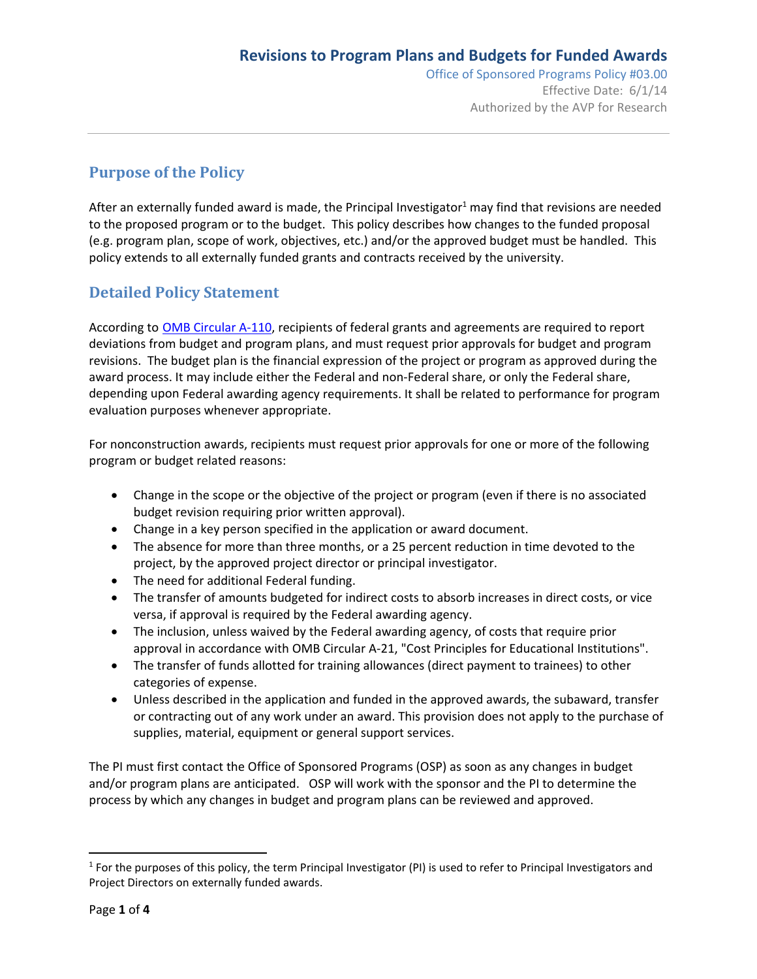# **Purpose of the Policy**

After an externally funded award is made, the Principal Investigator<sup>1</sup> may find that revisions are needed to the proposed program or to the budget. This policy describes how changes to the funded proposal (e.g. program plan, scope of work, objectives, etc.) and/or the approved budget must be handled. This policy extends to all externally funded grants and contracts received by the university.

## **Detailed Policy Statement**

According to OMB Circular A-110, recipients of federal grants and agreements are required to report deviations from budget and program plans, and must request prior approvals for budget and program revisions. The budget plan is the financial expression of the project or program as approved during the award process. It may include either the Federal and non-Federal share, or only the Federal share, depending upon Federal awarding agency requirements. It shall be related to performance for program evaluation purposes whenever appropriate.

For nonconstruction awards, recipients must request prior approvals for one or more of the following program or budget related reasons:

- Change in the scope or the objective of the project or program (even if there is no associated budget revision requiring prior written approval).
- Change in a key person specified in the application or award document.
- The absence for more than three months, or a 25 percent reduction in time devoted to the project, by the approved project director or principal investigator.
- The need for additional Federal funding.
- The transfer of amounts budgeted for indirect costs to absorb increases in direct costs, or vice versa, if approval is required by the Federal awarding agency.
- The inclusion, unless waived by the Federal awarding agency, of costs that require prior approval in accordance with OMB Circular A‐21, "Cost Principles for Educational Institutions".
- The transfer of funds allotted for training allowances (direct payment to trainees) to other categories of expense.
- Unless described in the application and funded in the approved awards, the subaward, transfer or contracting out of any work under an award. This provision does not apply to the purchase of supplies, material, equipment or general support services.

The PI must first contact the Office of Sponsored Programs (OSP) as soon as any changes in budget and/or program plans are anticipated. OSP will work with the sponsor and the PI to determine the process by which any changes in budget and program plans can be reviewed and approved.

<sup>&</sup>lt;sup>1</sup> For the purposes of this policy, the term Principal Investigator (PI) is used to refer to Principal Investigators and Project Directors on externally funded awards.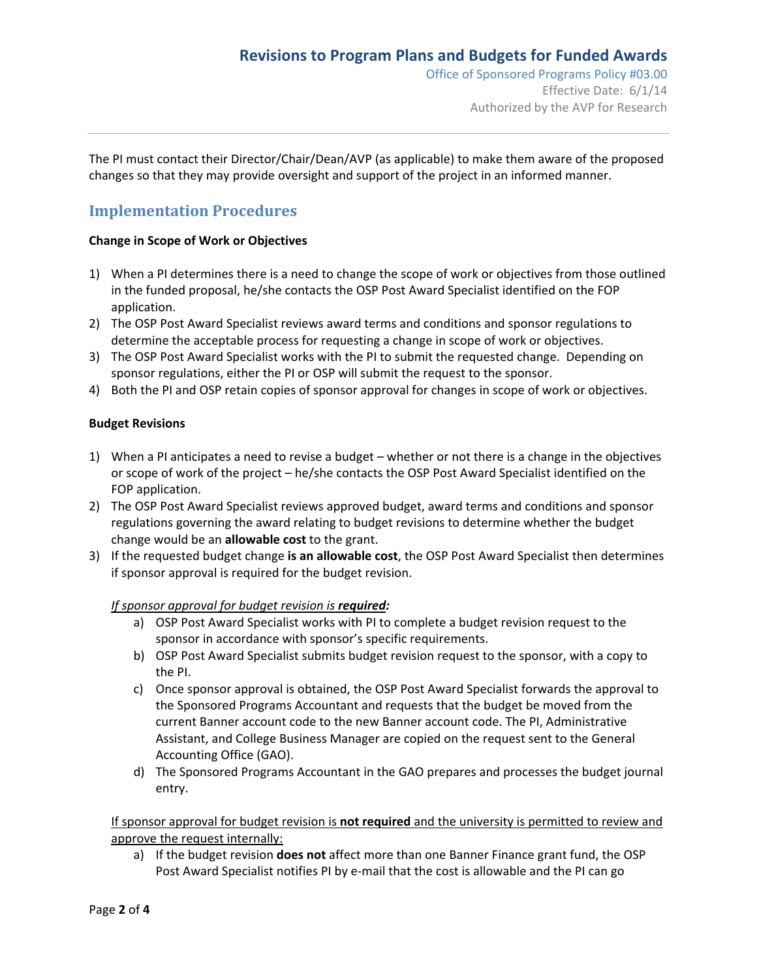Office of Sponsored Programs Policy #03.00 Effective Date: 6/1/14 Authorized by the AVP for Research

The PI must contact their Director/Chair/Dean/AVP (as applicable) to make them aware of the proposed changes so that they may provide oversight and support of the project in an informed manner.

### **Implementation Procedures**

#### **Change in Scope of Work or Objectives**

- 1) When a PI determines there is a need to change the scope of work or objectives from those outlined in the funded proposal, he/she contacts the OSP Post Award Specialist identified on the FOP application.
- 2) The OSP Post Award Specialist reviews award terms and conditions and sponsor regulations to determine the acceptable process for requesting a change in scope of work or objectives.
- 3) The OSP Post Award Specialist works with the PI to submit the requested change. Depending on sponsor regulations, either the PI or OSP will submit the request to the sponsor.
- 4) Both the PI and OSP retain copies of sponsor approval for changes in scope of work or objectives.

#### **Budget Revisions**

- 1) When a PI anticipates a need to revise a budget whether or not there is a change in the objectives or scope of work of the project – he/she contacts the OSP Post Award Specialist identified on the FOP application.
- 2) The OSP Post Award Specialist reviews approved budget, award terms and conditions and sponsor regulations governing the award relating to budget revisions to determine whether the budget change would be an **allowable cost** to the grant.
- 3) If the requested budget change **is an allowable cost**, the OSP Post Award Specialist then determines if sponsor approval is required for the budget revision.

#### *If sponsor approval for budget revision is required:*

- a) OSP Post Award Specialist works with PI to complete a budget revision request to the sponsor in accordance with sponsor's specific requirements.
- b) OSP Post Award Specialist submits budget revision request to the sponsor, with a copy to the PI.
- c) Once sponsor approval is obtained, the OSP Post Award Specialist forwards the approval to the Sponsored Programs Accountant and requests that the budget be moved from the current Banner account code to the new Banner account code. The PI, Administrative Assistant, and College Business Manager are copied on the request sent to the General Accounting Office (GAO).
- d) The Sponsored Programs Accountant in the GAO prepares and processes the budget journal entry.

If sponsor approval for budget revision is **not required** and the university is permitted to review and approve the request internally:

a) If the budget revision **does not** affect more than one Banner Finance grant fund, the OSP Post Award Specialist notifies PI by e-mail that the cost is allowable and the PI can go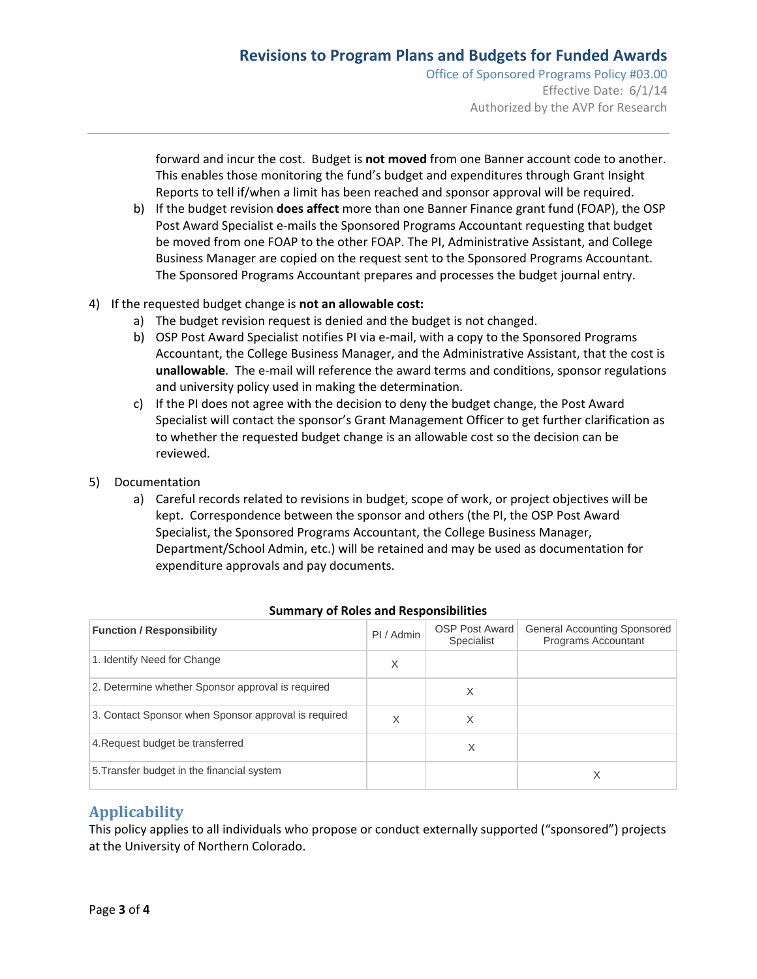Office of Sponsored Programs Policy #03.00 Effective Date: 6/1/14 Authorized by the AVP for Research

forward and incur the cost. Budget is **not moved** from one Banner account code to another. This enables those monitoring the fund's budget and expenditures through Grant Insight Reports to tell if/when a limit has been reached and sponsor approval will be required.

- b) If the budget revision **does affect** more than one Banner Finance grant fund (FOAP), the OSP Post Award Specialist e-mails the Sponsored Programs Accountant requesting that budget be moved from one FOAP to the other FOAP. The PI, Administrative Assistant, and College Business Manager are copied on the request sent to the Sponsored Programs Accountant. The Sponsored Programs Accountant prepares and processes the budget journal entry.
- 4) If the requested budget change is **not an allowable cost:**
	- a) The budget revision request is denied and the budget is not changed.
	- b) OSP Post Award Specialist notifies PI via e-mail, with a copy to the Sponsored Programs Accountant, the College Business Manager, and the Administrative Assistant, that the cost is **unallowable**. The e‐mail will reference the award terms and conditions, sponsor regulations and university policy used in making the determination.
	- c) If the PI does not agree with the decision to deny the budget change, the Post Award Specialist will contact the sponsor's Grant Management Officer to get further clarification as to whether the requested budget change is an allowable cost so the decision can be reviewed.
- 5) Documentation
	- a) Careful records related to revisions in budget, scope of work, or project objectives will be kept. Correspondence between the sponsor and others (the PI, the OSP Post Award Specialist, the Sponsored Programs Accountant, the College Business Manager, Department/School Admin, etc.) will be retained and may be used as documentation for expenditure approvals and pay documents.

| <b>Function / Responsibility</b>                     | PI / Admin | <b>OSP Post Award</b><br>Specialist | General Accounting Sponsored<br>Programs Accountant |
|------------------------------------------------------|------------|-------------------------------------|-----------------------------------------------------|
| 1. Identify Need for Change                          | X          |                                     |                                                     |
| 2. Determine whether Sponsor approval is required    |            | X                                   |                                                     |
| 3. Contact Sponsor when Sponsor approval is required | X          | X                                   |                                                     |
| 4. Request budget be transferred                     |            | X                                   |                                                     |
| 5. Transfer budget in the financial system           |            |                                     | Χ                                                   |

#### **Summary of Roles and Responsibilities**

### **Applicability**

This policy applies to all individuals who propose or conduct externally supported ("sponsored") projects at the University of Northern Colorado.